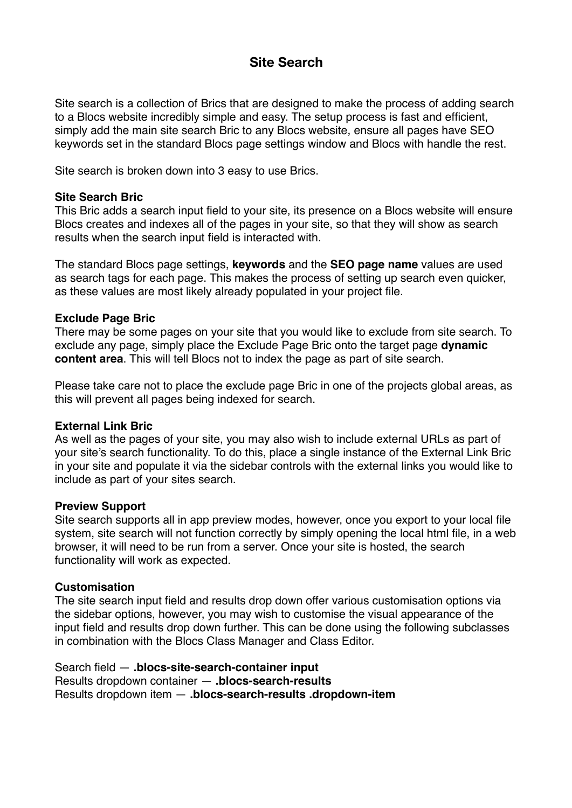# **Site Search**

Site search is a collection of Brics that are designed to make the process of adding search to a Blocs website incredibly simple and easy. The setup process is fast and efficient, simply add the main site search Bric to any Blocs website, ensure all pages have SEO keywords set in the standard Blocs page settings window and Blocs with handle the rest.

Site search is broken down into 3 easy to use Brics.

## **Site Search Bric**

This Bric adds a search input field to your site, its presence on a Blocs website will ensure Blocs creates and indexes all of the pages in your site, so that they will show as search results when the search input field is interacted with.

The standard Blocs page settings, **keywords** and the **SEO page name** values are used as search tags for each page. This makes the process of setting up search even quicker, as these values are most likely already populated in your project file.

## **Exclude Page Bric**

There may be some pages on your site that you would like to exclude from site search. To exclude any page, simply place the Exclude Page Bric onto the target page **dynamic content area**. This will tell Blocs not to index the page as part of site search.

Please take care not to place the exclude page Bric in one of the projects global areas, as this will prevent all pages being indexed for search.

#### **External Link Bric**

As well as the pages of your site, you may also wish to include external URLs as part of your site's search functionality. To do this, place a single instance of the External Link Bric in your site and populate it via the sidebar controls with the external links you would like to include as part of your sites search.

#### **Preview Support**

Site search supports all in app preview modes, however, once you export to your local file system, site search will not function correctly by simply opening the local html file, in a web browser, it will need to be run from a server. Once your site is hosted, the search functionality will work as expected.

#### **Customisation**

The site search input field and results drop down offer various customisation options via the sidebar options, however, you may wish to customise the visual appearance of the input field and results drop down further. This can be done using the following subclasses in combination with the Blocs Class Manager and Class Editor.

Search field — **.blocs-site-search-container input** Results dropdown container — **.blocs-search-results** Results dropdown item — **.blocs-search-results .dropdown-item**